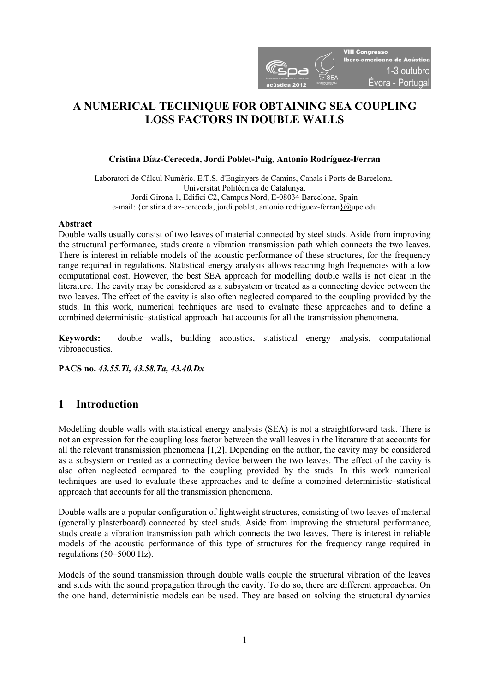

# A NUMERICAL TECHNIQUE FOR OBTAINING SEA COUPLING **LOSS FACTORS IN DOUBLE WALLS**

# Cristina Díaz-Cereceda, Jordi Poblet-Puig, Antonio Rodríguez-Ferran

Laboratori de Càlcul Numèric. E.T.S. d'Enginyers de Camins, Canals i Ports de Barcelona. Universitat Politècnica de Catalunya. Jordi Girona 1, Edifici C2, Campus Nord, E-08034 Barcelona, Spain e-mail: {cristina.diaz-cereceda, jordi.poblet, antonio.rodriguez-ferran}@upc.edu

### Abstract

Double walls usually consist of two leaves of material connected by steel studs. Aside from improving the structural performance, studs create a vibration transmission path which connects the two leaves. There is interest in reliable models of the acoustic performance of these structures, for the frequency range required in regulations. Statistical energy analysis allows reaching high frequencies with a low computational cost. However, the best SEA approach for modelling double walls is not clear in the literature. The cavity may be considered as a subsystem or treated as a connecting device between the two leaves. The effect of the cavity is also often neglected compared to the coupling provided by the studs. In this work, numerical techniques are used to evaluate these approaches and to define a combined deterministic–statistical approach that accounts for all the transmission phenomena.

Keywords: double walls, building acoustics, statistical energy analysis, computational vibroacoustics.

PACS no. 43.55.Ti, 43.58.Ta, 43.40.Dx

# 1 Introduction

Modelling double walls with statistical energy analysis (SEA) is not a straightforward task. There is not an expression for the coupling loss factor between the wall leaves in the literature that accounts for all the relevant transmission phenomena [1,2]. Depending on the author, the cavity may be considered as a subsystem or treated as a connecting device between the two leaves. The effect of the cavity is also often neglected compared to the coupling provided by the studs. In this work numerical techniques are used to evaluate these approaches and to define a combined deterministic–statistical approach that accounts for all the transmission phenomena.

Double walls are a popular configuration of lightweight structures, consisting of two leaves of material (generally plasterboard) connected by steel studs. Aside from improving the structural performance, studs create a vibration transmission path which connects the two leaves. There is interest in reliable models of the acoustic performance of this type of structures for the frequency range required in regulations (50–5000 Hz).

Models of the sound transmission through double walls couple the structural vibration of the leaves and studs with the sound propagation through the cavity. To do so, there are different approaches. On the one hand, deterministic models can be used. They are based on solving the structural dynamics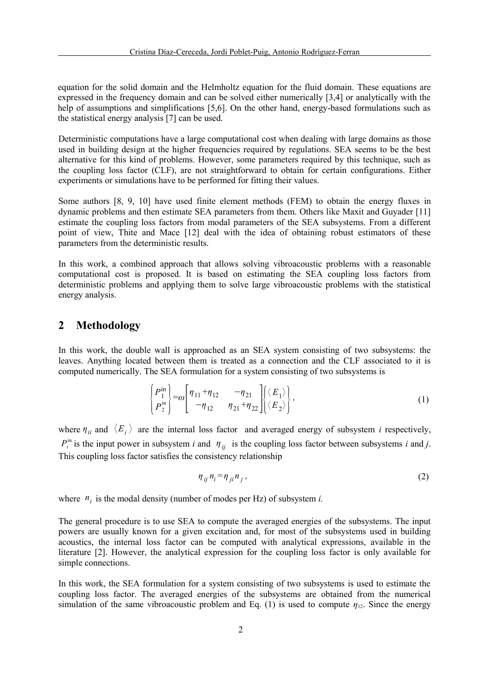equation for the solid domain and the Helmholtz equation for the fluid domain. These equations are expressed in the frequency domain and can be solved either numerically [3,4] or analytically with the help of assumptions and simplifications [5,6]. On the other hand, energy-based formulations such as the statistical energy analysis [7] can be used.

Deterministic computations have a large computational cost when dealing with large domains as those used in building design at the higher frequencies required by regulations. SEA seems to be the best alternative for this kind of problems. However, some parameters required by this technique, such as the coupling loss factor (CLF), are not straightforward to obtain for certain configurations. Either experiments or simulations have to be performed for fitting their values.

Some authors [8, 9, 10] have used finite element methods (FEM) to obtain the energy fluxes in dynamic problems and then estimate SEA parameters from them. Others like Maxit and Guyader [11] estimate the coupling loss factors from modal parameters of the SEA subsystems. From a different point of view, Thite and Mace [12] deal with the idea of obtaining robust estimators of these parameters from the deterministic results.

In this work, a combined approach that allows solving vibroacoustic problems with a reasonable computational cost is proposed. It is based on estimating the SEA coupling loss factors from deterministic problems and applying them to solve large vibroacoustic problems with the statistical energy analysis.

# 2 Methodology

In this work, the double wall is approached as an SEA system consisting of two subsystems: the leaves. Anything located between them is treated as a connection and the CLF associated to it is computed numerically. The SEA formulation for a system consisting of two subsystems is

$$
\begin{Bmatrix} P_1^{\text{in}} \\ P_2^{\text{in}} \end{Bmatrix} = \omega \begin{bmatrix} \eta_{11} + \eta_{12} & -\eta_{21} \\ -\eta_{12} & \eta_{21} + \eta_{22} \end{bmatrix} \begin{Bmatrix} \langle E_1 \rangle \\ \langle E_2 \rangle \end{Bmatrix},
$$
\n(1)

where  $\eta_{ii}$  and  $\langle E_i \rangle$  are the internal loss factor and averaged energy of subsystem *i* respectively,  $P_i^{\text{in}}$  is the input power in subsystem *i* and  $\eta_{ij}$  is the coupling loss factor between subsystems *i* and *j*. This coupling loss factor satisfies the consistency relationship

$$
\eta_{ij} n_i = \eta_{ji} n_j \,, \tag{2}
$$

where  $n_i$  is the modal density (number of modes per Hz) of subsystem *i*.

The general procedure is to use SEA to compute the averaged energies of the subsystems. The input powers are usually known for a given excitation and, for most of the subsystems used in building acoustics, the internal loss factor can be computed with analytical expressions, available in the literature [2]. However, the analytical expression for the coupling loss factor is only available for simple connections.

In this work, the SEA formulation for a system consisting of two subsystems is used to estimate the coupling loss factor. The averaged energies of the subsystems are obtained from the numerical simulation of the same vibroacoustic problem and Eq. (1) is used to compute  $\eta_{12}$ . Since the energy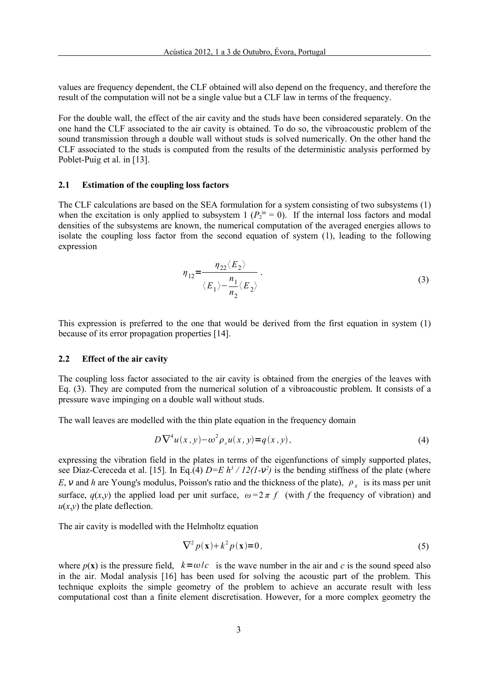values are frequency dependent, the CLF obtained will also depend on the frequency, and therefore the result of the computation will not be a single value but a CLF law in terms of the frequency.

For the double wall, the effect of the air cavity and the studs have been considered separately. On the one hand the CLF associated to the air cavity is obtained. To do so, the vibroacoustic problem of the sound transmission through a double wall without studs is solved numerically. On the other hand the CLF associated to the studs is computed from the results of the deterministic analysis performed by Poblet-Puig et al. in [13].

## 2.1 Estimation of the coupling loss factors

The CLF calculations are based on the SEA formulation for a system consisting of two subsystems (1) when the excitation is only applied to subsystem 1 ( $P_2$ <sup>in</sup> = 0). If the internal loss factors and modal densities of the subsystems are known, the numerical computation of the averaged energies allows to isolate the coupling loss factor from the second equation of system (1), leading to the following expression

$$
\eta_{12} = \frac{\eta_{22} \langle E_2 \rangle}{\langle E_1 \rangle - \frac{n_1}{n_2} \langle E_2 \rangle}.
$$
\n(3)

This expression is preferred to the one that would be derived from the first equation in system (1) because of its error propagation properties [14].

### 2.2 Effect of the air cavity

The coupling loss factor associated to the air cavity is obtained from the energies of the leaves with Eq. (3). They are computed from the numerical solution of a vibroacoustic problem. It consists of a pressure wave impinging on a double wall without studs.

The wall leaves are modelled with the thin plate equation in the frequency domain

$$
D\nabla^4 u(x,y) - \omega^2 \rho_s u(x,y) = q(x,y), \qquad (4)
$$

expressing the vibration field in the plates in terms of the eigenfunctions of simply supported plates, see Díaz-Cereceda et al. [15]. In Eq.(4)  $D=E h^3 / I2(I-\nu^2)$  is the bending stiffness of the plate (where E,  $\nu$  and h are Young's modulus, Poisson's ratio and the thickness of the plate),  $\rho_s$  is its mass per unit surface,  $q(x,y)$  the applied load per unit surface,  $\omega = 2 \pi f$  (with f the frequency of vibration) and  $u(x,y)$  the plate deflection.

The air cavity is modelled with the Helmholtz equation

$$
\nabla^2 p(\mathbf{x}) + k^2 p(\mathbf{x}) = 0,\tag{5}
$$

where  $p(x)$  is the pressure field,  $k=\omega/c$  is the wave number in the air and c is the sound speed also in the air. Modal analysis [16] has been used for solving the acoustic part of the problem. This technique exploits the simple geometry of the problem to achieve an accurate result with less computational cost than a finite element discretisation. However, for a more complex geometry the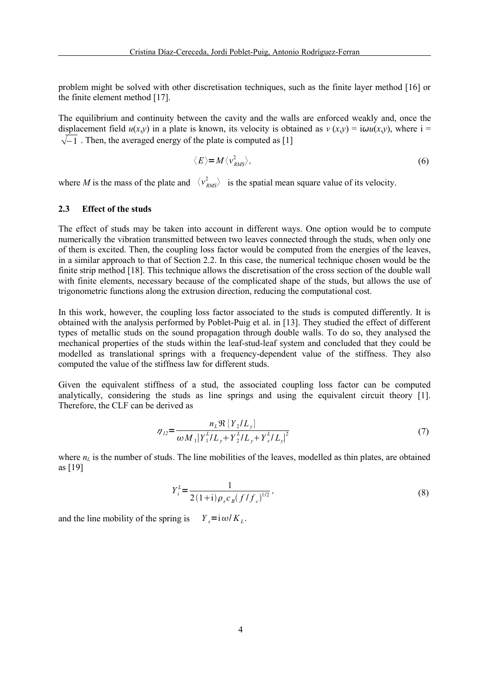problem might be solved with other discretisation techniques, such as the finite layer method [16] or the finite element method [17].

The equilibrium and continuity between the cavity and the walls are enforced weakly and, once the displacement field  $u(x,y)$  in a plate is known, its velocity is obtained as  $v(x,y) = i\omega u(x,y)$ , where  $i =$  $\sqrt{-1}$ . Then, the averaged energy of the plate is computed as [1]

$$
\langle E \rangle = M \langle v_{RMS}^2 \rangle, \tag{6}
$$

where M is the mass of the plate and  $\langle v_{RMS}^2 \rangle$  is the spatial mean square value of its velocity.

### 2.3 Effect of the studs

The effect of studs may be taken into account in different ways. One option would be to compute numerically the vibration transmitted between two leaves connected through the studs, when only one of them is excited. Then, the coupling loss factor would be computed from the energies of the leaves, in a similar approach to that of Section 2.2. In this case, the numerical technique chosen would be the finite strip method [18]. This technique allows the discretisation of the cross section of the double wall with finite elements, necessary because of the complicated shape of the studs, but allows the use of trigonometric functions along the extrusion direction, reducing the computational cost.

In this work, however, the coupling loss factor associated to the studs is computed differently. It is obtained with the analysis performed by Poblet-Puig et al. in [13]. They studied the effect of different types of metallic studs on the sound propagation through double walls. To do so, they analysed the mechanical properties of the studs within the leaf-stud-leaf system and concluded that they could be modelled as translational springs with a frequency-dependent value of the stiffness. They also computed the value of the stiffness law for different studs.

Given the equivalent stiffness of a stud, the associated coupling loss factor can be computed analytically, considering the studs as line springs and using the equivalent circuit theory [1]. Therefore, the CLF can be derived as

$$
\eta_{12} = \frac{n_L \Re \{ Y_2 / L_y \}}{\omega M_1 |Y_1^L / L_y + Y_2^L / L_y + Y_s^L / L_y|^2}
$$
\n(7)

where  $n<sub>L</sub>$  is the number of studs. The line mobilities of the leaves, modelled as thin plates, are obtained as [19]

$$
Y_i^L = \frac{1}{2(1+i)\rho_s c_B (f/f_c)^{1/2}},\tag{8}
$$

and the line mobility of the spring is  $Y_s = i\omega / K_L$ .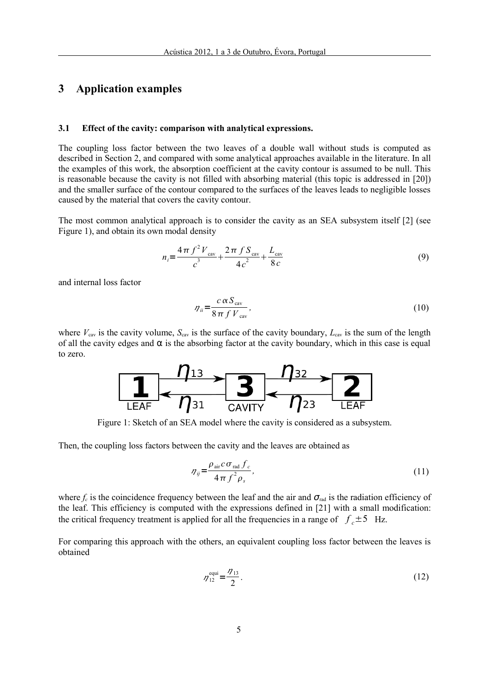# 3 Application examples

#### 3.1 Effect of the cavity: comparison with analytical expressions.

The coupling loss factor between the two leaves of a double wall without studs is computed as described in Section 2, and compared with some analytical approaches available in the literature. In all the examples of this work, the absorption coefficient at the cavity contour is assumed to be null. This is reasonable because the cavity is not filled with absorbing material (this topic is addressed in [20]) and the smaller surface of the contour compared to the surfaces of the leaves leads to negligible losses caused by the material that covers the cavity contour.

The most common analytical approach is to consider the cavity as an SEA subsystem itself [2] (see Figure 1), and obtain its own modal density

$$
n_{i} = \frac{4\pi f^{2}V_{\text{cav}}}{c^{3}} + \frac{2\pi fS_{\text{cav}}}{4c^{2}} + \frac{L_{\text{cav}}}{8c}
$$
(9)

and internal loss factor

$$
\eta_{ii} = \frac{c \alpha S_{\text{cav}}}{8 \pi f V_{\text{cav}}},\tag{10}
$$

where  $V_{\text{cav}}$  is the cavity volume,  $S_{\text{cav}}$  is the surface of the cavity boundary,  $L_{\text{cav}}$  is the sum of the length of all the cavity edges and  $\alpha$  is the absorbing factor at the cavity boundary, which in this case is equal to zero.



Figure 1: Sketch of an SEA model where the cavity is considered as a subsystem.

Then, the coupling loss factors between the cavity and the leaves are obtained as

$$
\eta_{ij} = \frac{\rho_{\text{air}} c \sigma_{\text{rad}} f_c}{4 \pi f^2 \rho_s},\tag{11}
$$

where  $f_c$  is the coincidence frequency between the leaf and the air and  $\sigma_{rad}$  is the radiation efficiency of the leaf. This efficiency is computed with the expressions defined in [21] with a small modification: the critical frequency treatment is applied for all the frequencies in a range of  $f_c \pm 5$  Hz.

For comparing this approach with the others, an equivalent coupling loss factor between the leaves is obtained

$$
\eta_{12}^{\text{equi}} = \frac{\eta_{13}}{2}.
$$
 (12)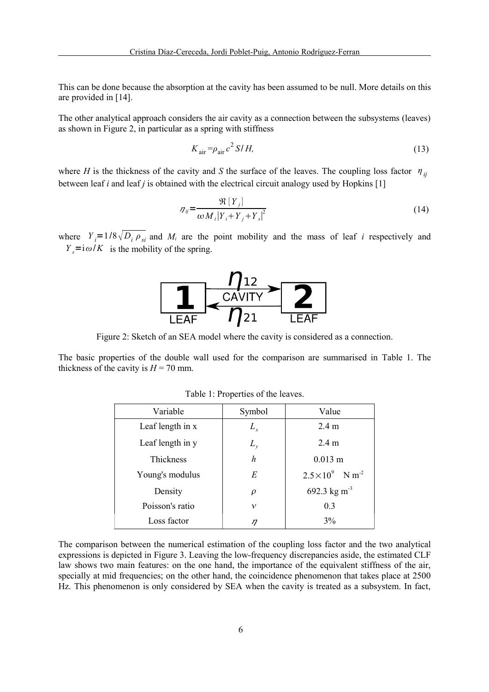This can be done because the absorption at the cavity has been assumed to be null. More details on this are provided in [14].

The other analytical approach considers the air cavity as a connection between the subsystems (leaves) as shown in Figure 2, in particular as a spring with stiffness

$$
K_{\text{air}} = \rho_{\text{air}} c^2 S/H,
$$
\n(13)

where H is the thickness of the cavity and S the surface of the leaves. The coupling loss factor  $\eta_{ii}$ between leaf i and leaf j is obtained with the electrical circuit analogy used by Hopkins  $[1]$ 

$$
\eta_{ij} = \frac{\Re\left\{Y_j\right\}}{\omega M_i \left|Y_i + Y_j + Y_s\right|^2} \tag{14}
$$

where  $Y_i = 1/8 \sqrt{D_i \rho_{si}}$  and  $M_i$  are the point mobility and the mass of leaf i respectively and  $Y_s = i\omega/K$  is the mobility of the spring.



Figure 2: Sketch of an SEA model where the cavity is considered as a connection.

The basic properties of the double wall used for the comparison are summarised in Table 1. The thickness of the cavity is  $H = 70$  mm.

| Variable         | Symbol    | Value                                 |
|------------------|-----------|---------------------------------------|
| Leaf length in x | $L_{x}$   | 2.4 <sub>m</sub>                      |
| Leaf length in y | $L_{\nu}$ | 2.4 m                                 |
| Thickness        | h         | $0.013 \; \mathrm{m}$                 |
| Young's modulus  | E         | $2.5 \times 10^{9}$ N m <sup>-2</sup> |
| Density          | $\rho$    | 692.3 kg m <sup>-3</sup>              |
| Poisson's ratio  | ν         | 0.3                                   |
| Loss factor      | ŋ         | 3%                                    |

Table 1: Properties of the leaves.

The comparison between the numerical estimation of the coupling loss factor and the two analytical expressions is depicted in Figure 3. Leaving the low-frequency discrepancies aside, the estimated CLF law shows two main features: on the one hand, the importance of the equivalent stiffness of the air, specially at mid frequencies; on the other hand, the coincidence phenomenon that takes place at 2500 Hz. This phenomenon is only considered by SEA when the cavity is treated as a subsystem. In fact,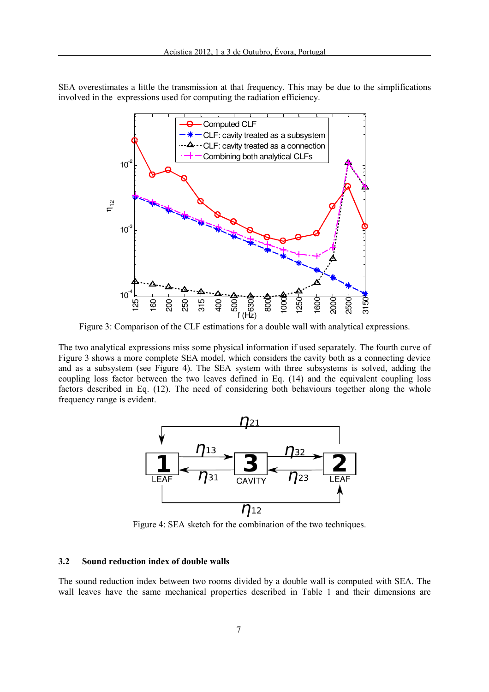SEA overestimates a little the transmission at that frequency. This may be due to the simplifications involved in the expressions used for computing the radiation efficiency.



Figure 3: Comparison of the CLF estimations for a double wall with analytical expressions.

The two analytical expressions miss some physical information if used separately. The fourth curve of Figure 3 shows a more complete SEA model, which considers the cavity both as a connecting device and as a subsystem (see Figure 4). The SEA system with three subsystems is solved, adding the coupling loss factor between the two leaves defined in Eq. (14) and the equivalent coupling loss factors described in Eq. (12). The need of considering both behaviours together along the whole frequency range is evident.



Figure 4: SEA sketch for the combination of the two techniques.

#### 3.2 Sound reduction index of double walls

The sound reduction index between two rooms divided by a double wall is computed with SEA. The wall leaves have the same mechanical properties described in Table 1 and their dimensions are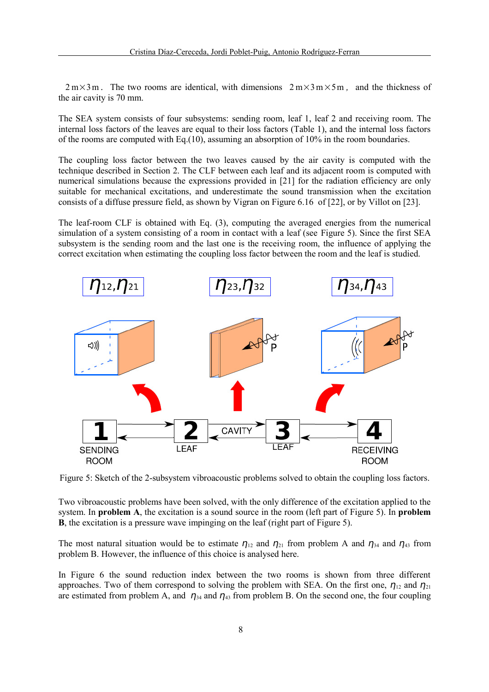$2 \text{ m} \times 3 \text{ m}$ . The two rooms are identical, with dimensions  $2 \text{ m} \times 3 \text{ m} \times 5 \text{ m}$ , and the thickness of the air cavity is 70 mm.

The SEA system consists of four subsystems: sending room, leaf 1, leaf 2 and receiving room. The internal loss factors of the leaves are equal to their loss factors (Table 1), and the internal loss factors of the rooms are computed with Eq.(10), assuming an absorption of 10% in the room boundaries.

The coupling loss factor between the two leaves caused by the air cavity is computed with the technique described in Section 2. The CLF between each leaf and its adjacent room is computed with numerical simulations because the expressions provided in [21] for the radiation efficiency are only suitable for mechanical excitations, and underestimate the sound transmission when the excitation consists of a diffuse pressure field, as shown by Vigran on Figure 6.16 of [22], or by Villot on [23].

The leaf-room CLF is obtained with Eq. (3), computing the averaged energies from the numerical simulation of a system consisting of a room in contact with a leaf (see Figure 5). Since the first SEA subsystem is the sending room and the last one is the receiving room, the influence of applying the correct excitation when estimating the coupling loss factor between the room and the leaf is studied.



Figure 5: Sketch of the 2-subsystem vibroacoustic problems solved to obtain the coupling loss factors.

Two vibroacoustic problems have been solved, with the only difference of the excitation applied to the system. In **problem A**, the excitation is a sound source in the room (left part of Figure 5). In **problem** B, the excitation is a pressure wave impinging on the leaf (right part of Figure 5).

The most natural situation would be to estimate  $\eta_{12}$  and  $\eta_{21}$  from problem A and  $\eta_{34}$  and  $\eta_{43}$  from problem B. However, the influence of this choice is analysed here.

In Figure 6 the sound reduction index between the two rooms is shown from three different approaches. Two of them correspond to solving the problem with SEA. On the first one,  $\eta_{12}$  and  $\eta_{21}$ are estimated from problem A, and  $\eta_{34}$  and  $\eta_{43}$  from problem B. On the second one, the four coupling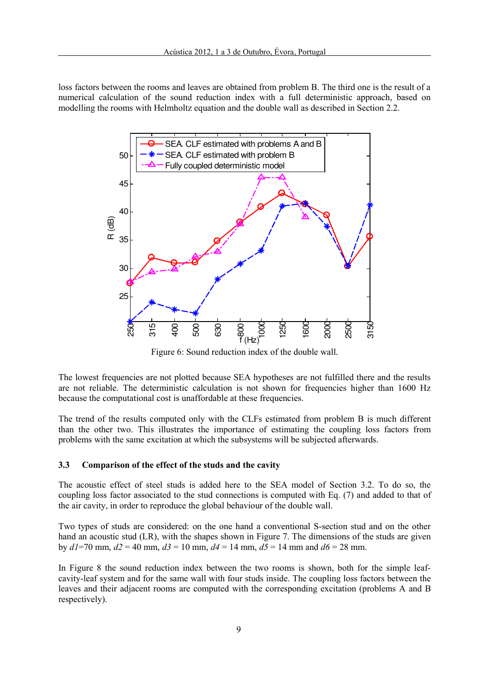loss factors between the rooms and leaves are obtained from problem B. The third one is the result of a numerical calculation of the sound reduction index with a full deterministic approach, based on modelling the rooms with Helmholtz equation and the double wall as described in Section 2.2.



Figure 6: Sound reduction index of the double wall.

The lowest frequencies are not plotted because SEA hypotheses are not fulfilled there and the results are not reliable. The deterministic calculation is not shown for frequencies higher than 1600 Hz because the computational cost is unaffordable at these frequencies.

The trend of the results computed only with the CLFs estimated from problem B is much different than the other two. This illustrates the importance of estimating the coupling loss factors from problems with the same excitation at which the subsystems will be subjected afterwards.

## 3.3 Comparison of the effect of the studs and the cavity

The acoustic effect of steel studs is added here to the SEA model of Section 3.2. To do so, the coupling loss factor associated to the stud connections is computed with Eq. (7) and added to that of the air cavity, in order to reproduce the global behaviour of the double wall.

Two types of studs are considered: on the one hand a conventional S-section stud and on the other hand an acoustic stud (LR), with the shapes shown in Figure 7. The dimensions of the studs are given by  $dI$ =70 mm,  $d2$  = 40 mm,  $d3$  = 10 mm,  $d4$  = 14 mm,  $d5$  = 14 mm and  $d6$  = 28 mm.

In Figure 8 the sound reduction index between the two rooms is shown, both for the simple leafcavity-leaf system and for the same wall with four studs inside. The coupling loss factors between the leaves and their adjacent rooms are computed with the corresponding excitation (problems A and B respectively).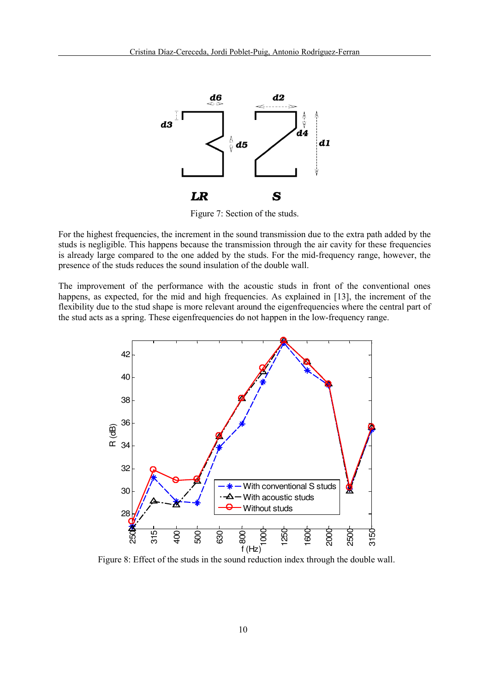

Figure 7: Section of the studs.

For the highest frequencies, the increment in the sound transmission due to the extra path added by the studs is negligible. This happens because the transmission through the air cavity for these frequencies is already large compared to the one added by the studs. For the mid-frequency range, however, the presence of the studs reduces the sound insulation of the double wall.

The improvement of the performance with the acoustic studs in front of the conventional ones happens, as expected, for the mid and high frequencies. As explained in [13], the increment of the flexibility due to the stud shape is more relevant around the eigenfrequencies where the central part of the stud acts as a spring. These eigenfrequencies do not happen in the low-frequency range.



Figure 8: Effect of the studs in the sound reduction index through the double wall.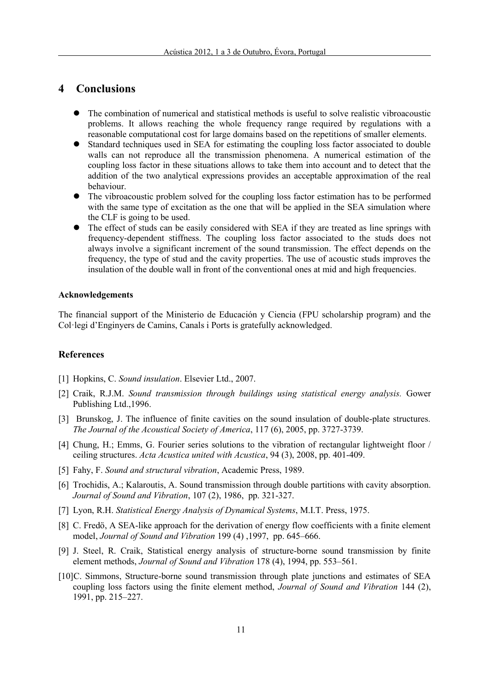# 4 Conclusions

- The combination of numerical and statistical methods is useful to solve realistic vibroacoustic problems. It allows reaching the whole frequency range required by regulations with a reasonable computational cost for large domains based on the repetitions of smaller elements.
- Standard techniques used in SEA for estimating the coupling loss factor associated to double walls can not reproduce all the transmission phenomena. A numerical estimation of the coupling loss factor in these situations allows to take them into account and to detect that the addition of the two analytical expressions provides an acceptable approximation of the real behaviour.
- The vibroacoustic problem solved for the coupling loss factor estimation has to be performed with the same type of excitation as the one that will be applied in the SEA simulation where the CLF is going to be used.
- The effect of studs can be easily considered with SEA if they are treated as line springs with frequency-dependent stiffness. The coupling loss factor associated to the studs does not always involve a significant increment of the sound transmission. The effect depends on the frequency, the type of stud and the cavity properties. The use of acoustic studs improves the insulation of the double wall in front of the conventional ones at mid and high frequencies.

#### Acknowledgements

The financial support of the Ministerio de Educación y Ciencia (FPU scholarship program) and the Col·legi d'Enginyers de Camins, Canals i Ports is gratefully acknowledged.

#### References

- [1] Hopkins, C. Sound insulation. Elsevier Ltd., 2007.
- [2] Craik, R.J.M. Sound transmission through buildings using statistical energy analysis. Gower Publishing Ltd.,1996.
- [3] Brunskog, J. The influence of finite cavities on the sound insulation of double-plate structures. The Journal of the Acoustical Society of America, 117 (6), 2005, pp. 3727-3739.
- [4] Chung, H.; Emms, G. Fourier series solutions to the vibration of rectangular lightweight floor / ceiling structures. Acta Acustica united with Acustica, 94 (3), 2008, pp. 401-409.
- [5] Fahy, F. Sound and structural vibration, Academic Press, 1989.
- [6] Trochidis, A.; Kalaroutis, A. Sound transmission through double partitions with cavity absorption. Journal of Sound and Vibration, 107 (2), 1986, pp. 321-327.
- [7] Lyon, R.H. Statistical Energy Analysis of Dynamical Systems, M.I.T. Press, 1975.
- [8] C. Fredö, A SEA-like approach for the derivation of energy flow coefficients with a finite element model, Journal of Sound and Vibration 199 (4) ,1997, pp. 645–666.
- [9] J. Steel, R. Craik, Statistical energy analysis of structure-borne sound transmission by finite element methods, Journal of Sound and Vibration 178 (4), 1994, pp. 553–561.
- [10]C. Simmons, Structure-borne sound transmission through plate junctions and estimates of SEA coupling loss factors using the finite element method, Journal of Sound and Vibration 144 (2), 1991, pp. 215–227.